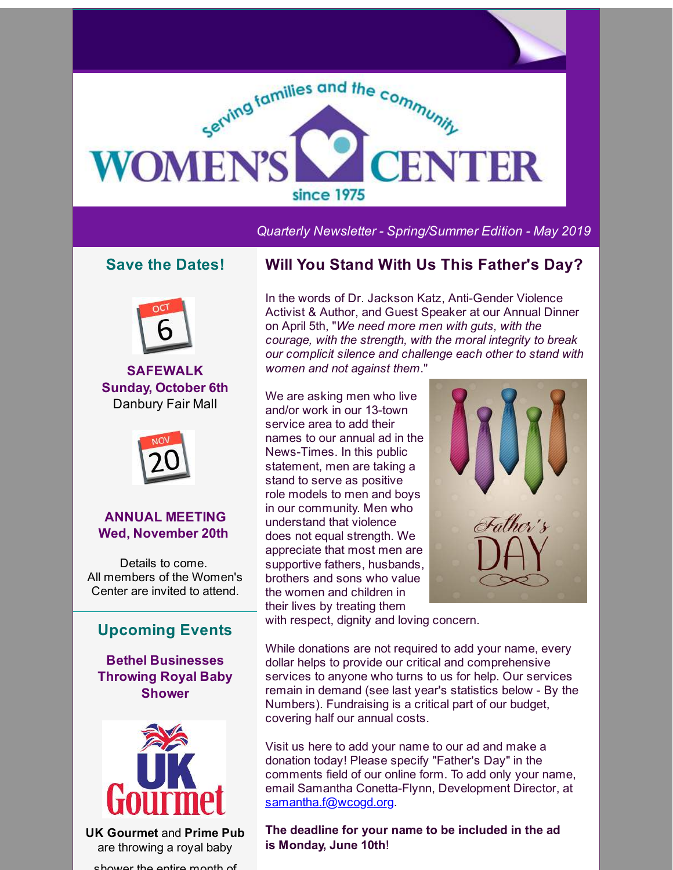

*Quarterly Newsletter - Spring/Summer Edition - May 2019*

## **Save the Dates!**



**SAFEWALK Sunday, October 6th** Danbury Fair Mall



#### **ANNUAL MEETING Wed, November 20th**

Details to come. All members of the Women's Center are invited to attend.

## **Upcoming Events**

**Bethel Businesses Throwing Royal Baby Shower**



**UK Gourmet** and **Prime Pub** are throwing a royal baby shower the entire month of

## **Will You Stand With Us This Father's Day?**

In the words of Dr. Jackson Katz, Anti-Gender Violence Activist & Author, and Guest Speaker at our Annual Dinner on April 5th, "*We need more men with guts, with the courage, with the strength, with the moral integrity to break our complicit silence and challenge each other to stand with women and not against them*."

We are asking men who live and/or work in our 13-town service area to add their names to our annual ad in the News-Times. In this public statement, men are taking a stand to serve as positive role models to men and boys in our community. Men who understand that violence does not equal strength. We appreciate that most men are supportive fathers, husbands, brothers and sons who value the women and children in their lives by treating them



with respect, dignity and loving concern.

While donations are not required to add your name, every dollar helps to provide our critical and comprehensive services to anyone who turns to us for help. Our services remain in demand (see last year's statistics below - By the Numbers). Fundraising is a critical part of our budget, covering half our annual costs.

Visit us here to add your name to our ad and make a donation today! Please specify "Father's Day" in the comments field of our online form. To add only your name, email Samantha Conetta-Flynn, Development Director, at [samantha.f@wcogd.org](mailto:samantha.f@wcogd.org).

**The deadline for your name to be included in the ad is Monday, June 10th**!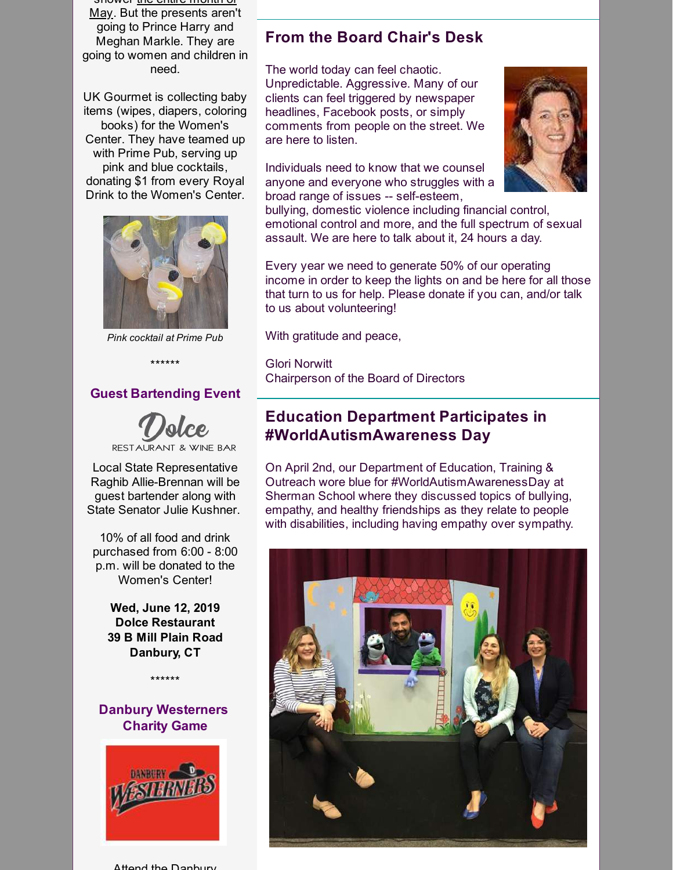shower <u>the entire</u> mu May. But the presents aren't going to Prince Harry and Meghan Markle. They are going to women and children in need.

UK Gourmet is collecting baby items (wipes, diapers, coloring books) for the Women's Center. They have teamed up with Prime Pub, serving up pink and blue cocktails, donating \$1 from every Royal Drink to the Women's Center.



*Pink cocktail at Prime Pub*

\*\*\*\*\*\*

### **Guest Bartending Event**



RESTAURANT & WINE BAR

Local State Representative Raghib Allie-Brennan will be guest bartender along with State Senator Julie Kushner.

10% of all food and drink purchased from 6:00 - 8:00 p.m. will be donated to the Women's Center!

**Wed, June 12, 2019 Dolce Restaurant 39 B Mill Plain Road Danbury, CT**

**Danbury Westerners Charity Game**

\*\*\*\*\*\*



Hond the Danbury

## **From the Board Chair's Desk**

The world today can feel chaotic. Unpredictable. Aggressive. Many of our clients can feel triggered by newspaper headlines, Facebook posts, or simply comments from people on the street. We are here to listen.

Individuals need to know that we counsel anyone and everyone who struggles with a broad range of issues -- self-esteem,



bullying, domestic violence including financial control, emotional control and more, and the full spectrum of sexual assault. We are here to talk about it, 24 hours a day.

Every year we need to generate 50% of our operating income in order to keep the lights on and be here for all those that turn to us for help. Please donate if you can, and/or talk to us about volunteering!

With gratitude and peace,

Glori Norwitt Chairperson of the Board of Directors

## **Education Department Participates in #WorldAutismAwareness Day**

On April 2nd, our Department of Education, Training & Outreach wore blue for #WorldAutismAwarenessDay at Sherman School where they discussed topics of bullying, empathy, and healthy friendships as they relate to people with disabilities, including having empathy over sympathy.

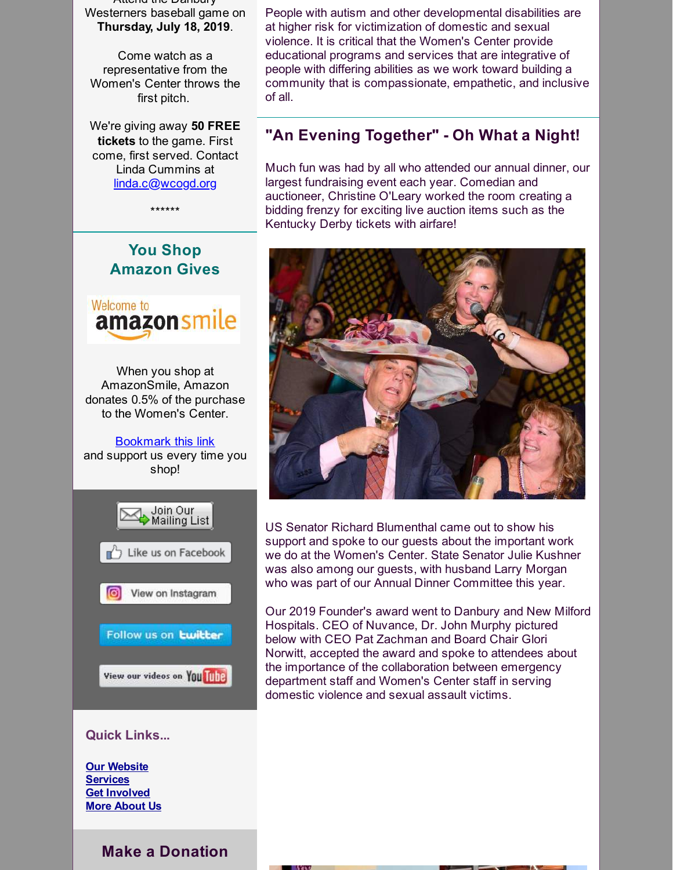Attend the Danbury Westerners baseball game on **Thursday, July 18, 2019**.

Come watch as a representative from the Women's Center throws the first pitch.

We're giving away **50 FREE tickets** to the game. First come, first served. Contact Linda Cummins at [linda.c@wcogd.org](mailto:linda.c@wcogd.org)

\*\*\*\*\*\*

# **You Shop Amazon Gives**



When you shop at AmazonSmile, Amazon donates 0.5% of the purchase to the Women's Center.

[Bookmark](http://r20.rs6.net/tn.jsp?f=0013mJXYOU2YdaI2GKSZOd_zGZl7shwtEwM1n35ZjbFFqzYj_awE3T3hFFOeUQKRAi3Rvs7nd9e86Re2avX1z3AKF3IX03TR734h9TJ95qaFe1_4oFl1JnzVkEwo52V1C5LaXjc85IrsMCjcAY1dpMhJJAWESskYq9FLHRW4ec4GWVAJ7nu0gHI9GGmtxQieybV&c=&ch=) this link and support us every time you shop!



### **Quick Links...**

**Our [Website](http://r20.rs6.net/tn.jsp?f=0013mJXYOU2YdaI2GKSZOd_zGZl7shwtEwM1n35ZjbFFqzYj_awE3T3hE5MB2Ea_jTonP_U7RR87GTwsGbm8PxvDk_bWOHRtCakThAxny2xFNk2pj3ROn_JaCqgoIu1UAYZi6Qic5SoXTA8MeGBPUMYllqjp3UYHVLI&c=&ch=) [Services](http://r20.rs6.net/tn.jsp?f=0013mJXYOU2YdaI2GKSZOd_zGZl7shwtEwM1n35ZjbFFqzYj_awE3T3hL4k2SAUp18SdwmrPE-aRMnMuQHRzHz5VR06GGw1qxiJt-Zo5rlMCj11A3AcbGLaa2cpnakQQPnsIAVtFZ5P7-Bs_4z-Sj95Qvd0nKgthZKp5EA-j9yG_jCn7YabOS70Vmmyp-UkEWTi&c=&ch=) Get [Involved](http://r20.rs6.net/tn.jsp?f=0013mJXYOU2YdaI2GKSZOd_zGZl7shwtEwM1n35ZjbFFqzYj_awE3T3hBEO6w4_mjo-9tETKU92xLcj4FAvSzBuFy6HMpfvvC2b1cvXiw8roU11zpVJTXhDAa-GWTBoAZU5FwEfmFIOh1cuy09IRpsZqMGlcB0VVVkiBG0j_4hkXQkw3XMWT7ycjYM_t5P3m9ywWmi1KpCCcta3ow9IwFppsHnovyKvDfuP&c=&ch=) More [About](http://r20.rs6.net/tn.jsp?f=0013mJXYOU2YdaI2GKSZOd_zGZl7shwtEwM1n35ZjbFFqzYj_awE3T3hL4k2SAUp18StEr-dTTjGmBxTfG2R5kqyj19iftai2XBtzXmNCpNcNQYs6yImFSNtUav9solOvDZSv3UzmDLV5nVj9S8HXtnVw9wNreecMfP-5UDNS7KDIqru-up9QqPt_lotEqRDhAOKYlyqkd6L34=&c=&ch=) Us**

**Make a Donation**

People with autism and other developmental disabilities are at higher risk for victimization of domestic and sexual violence. It is critical that the Women's Center provide educational programs and services that are integrative of people with differing abilities as we work toward building a community that is compassionate, empathetic, and inclusive of all.

# **"An Evening Together" - Oh What a Night!**

Much fun was had by all who attended our annual dinner, our largest fundraising event each year. Comedian and auctioneer, Christine O'Leary worked the room creating a bidding frenzy for exciting live auction items such as the Kentucky Derby tickets with airfare!



US Senator Richard Blumenthal came out to show his support and spoke to our guests about the important work we do at the Women's Center. State Senator Julie Kushner was also among our guests, with husband Larry Morgan who was part of our Annual Dinner Committee this year.

Our 2019 Founder's award went to Danbury and New Milford Hospitals. CEO of Nuvance, Dr. John Murphy pictured below with CEO Pat Zachman and Board Chair Glori Norwitt, accepted the award and spoke to attendees about the importance of the collaboration between emergency department staff and Women's Center staff in serving domestic violence and sexual assault victims.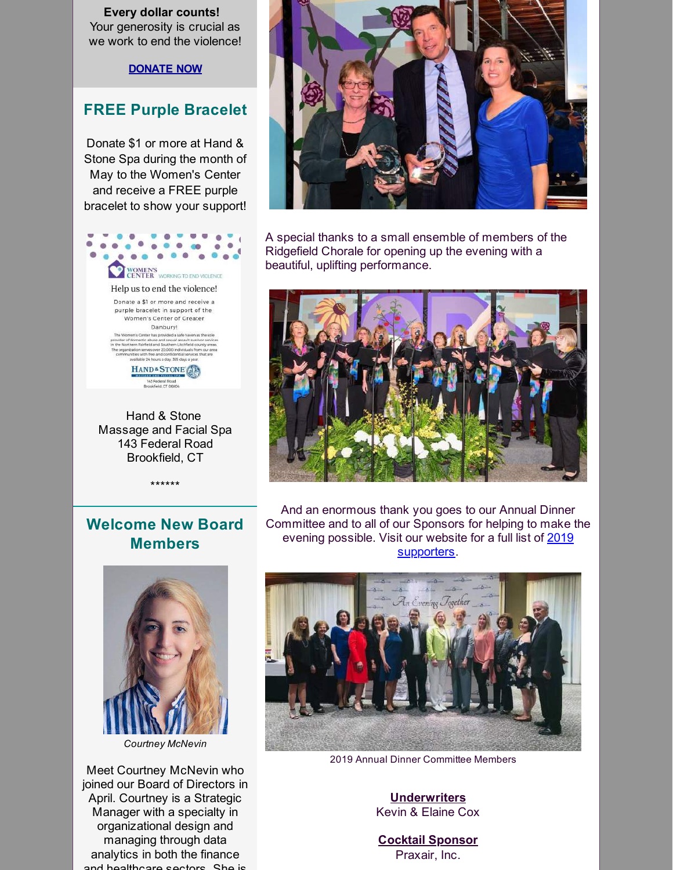**Every dollar counts!** Your generosity is crucial as we work to end the violence!

**[DONATE](http://r20.rs6.net/tn.jsp?f=0013mJXYOU2YdaI2GKSZOd_zGZl7shwtEwM1n35ZjbFFqzYj_awE3T3hL4k2SAUp18SpRcSk7JsrTGNZfn8fkMmKBcA5JgsfXkxwPd-1iGgtyqYYGq4YwqK6K7jkclTKFKeLhFws9q4-rcR4qui02Zs5n-CvHAixejFPtNmd8gIRxnLG_mjbAwte1Zxc_qRQHktSH0XqKVtcCpH3p3NWlkVBg==&c=&ch=) NOW**

## **FREE Purple Bracelet**

Donate \$1 or more at Hand & Stone Spa during the month of May to the Women's Center and receive a FREE purple bracelet to show your support!



Hand & Stone Massage and Facial Spa 143 Federal Road Brookfield, CT

\*\*\*\*\*\*



A special thanks to a small ensemble of members of the Ridgefield Chorale for opening up the evening with a beautiful, uplifting performance.



# **Welcome New Board Members**

And an enormous thank you goes to our Annual Dinner Committee and to all of our Sponsors for helping to make the evening possible. Visit our website for a full list of 2019 [supporters.](http://r20.rs6.net/tn.jsp?f=0013mJXYOU2YdaI2GKSZOd_zGZl7shwtEwM1n35ZjbFFqzYj_awE3T3hN3JIGUeOXJAObpQwyozNKhtpLJ_nQaEN4qdmOeSJIayeE0ga9uBCRy49KqHkBHW8JTX-np6KBtwQAMTUS5ROkwBcAfztU6kh3zEFKzzfeOe-qAw0qgVmQQEjigHS2PZNkJwmoHZJ3GmFXl-hx3bRAcsIW8xIKvFMQ==&c=&ch=)



*Courtney McNevin*

Meet Courtney McNevin who joined our Board of Directors in April. Courtney is a Strategic Manager with a specialty in organizational design and managing through data analytics in both the finance and healthcare sectors She is



2019 Annual Dinner Committee Members

**Underwriters** Kevin & Elaine Cox

**Cocktail Sponsor** Praxair, Inc.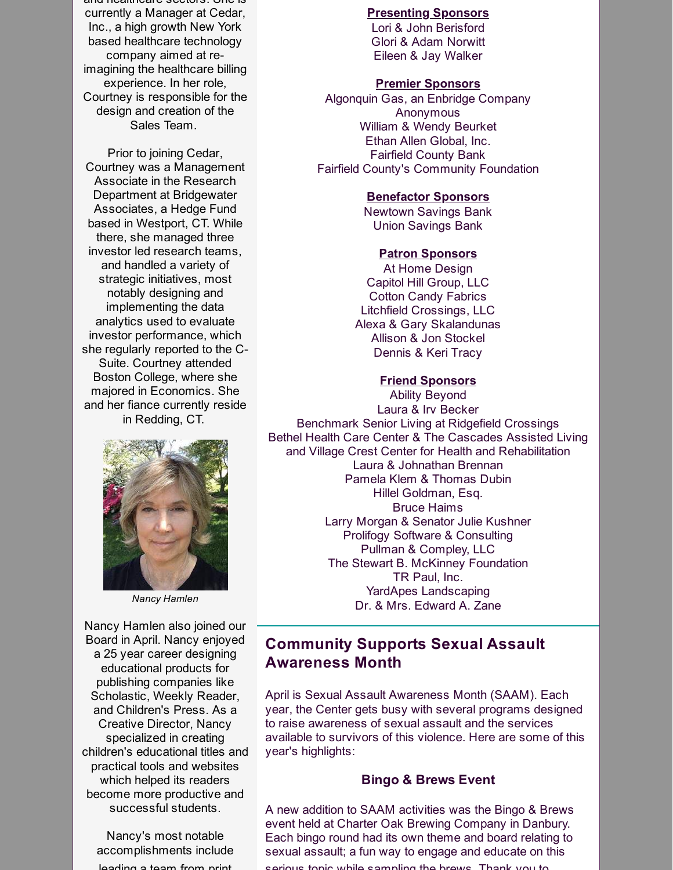and healthcare sectors. She is currently a Manager at Cedar, Inc., a high growth New York based healthcare technology company aimed at reimagining the healthcare billing experience. In her role, Courtney is responsible for the design and creation of the Sales Team.

Prior to joining Cedar, Courtney was a Management Associate in the Research Department at Bridgewater Associates, a Hedge Fund based in Westport, CT. While there, she managed three investor led research teams, and handled a variety of strategic initiatives, most notably designing and implementing the data analytics used to evaluate investor performance, which she regularly reported to the C-Suite. Courtney attended Boston College, where she majored in Economics. She and her fiance currently reside in Redding, CT.



*Nancy Hamlen*

Nancy Hamlen also joined our Board in April. Nancy enjoyed a 25 year career designing educational products for publishing companies like Scholastic, Weekly Reader, and Children's Press. As a Creative Director, Nancy specialized in creating children's educational titles and practical tools and websites which helped its readers become more productive and successful students.

Nancy's most notable accomplishments include leading a team from print

### **Presenting Sponsors**

Lori & John Berisford Glori & Adam Norwitt Eileen & Jay Walker

#### **Premier Sponsors**

Algonquin Gas, an Enbridge Company Anonymous William & Wendy Beurket Ethan Allen Global, Inc. Fairfield County Bank Fairfield County's Community Foundation

#### **Benefactor Sponsors**

Newtown Savings Bank Union Savings Bank

#### **Patron Sponsors**

At Home Design Capitol Hill Group, LLC Cotton Candy Fabrics Litchfield Crossings, LLC Alexa & Gary Skalandunas Allison & Jon Stockel Dennis & Keri Tracy

### **Friend Sponsors**

Ability Beyond Laura & Irv Becker Benchmark Senior Living at Ridgefield Crossings Bethel Health Care Center & The Cascades Assisted Living and Village Crest Center for Health and Rehabilitation Laura & Johnathan Brennan Pamela Klem & Thomas Dubin Hillel Goldman, Esq. Bruce Haims Larry Morgan & Senator Julie Kushner Prolifogy Software & Consulting Pullman & Compley, LLC The Stewart B. McKinney Foundation TR Paul, Inc. YardApes Landscaping Dr. & Mrs. Edward A. Zane

# **Community Supports Sexual Assault Awareness Month**

April is Sexual Assault Awareness Month (SAAM). Each year, the Center gets busy with several programs designed to raise awareness of sexual assault and the services available to survivors of this violence. Here are some of this year's highlights:

## **Bingo & Brews Event**

A new addition to SAAM activities was the Bingo & Brews event held at Charter Oak Brewing Company in Danbury. Each bingo round had its own theme and board relating to sexual assault; a fun way to engage and educate on this serious topic while sampling the brews Thank you to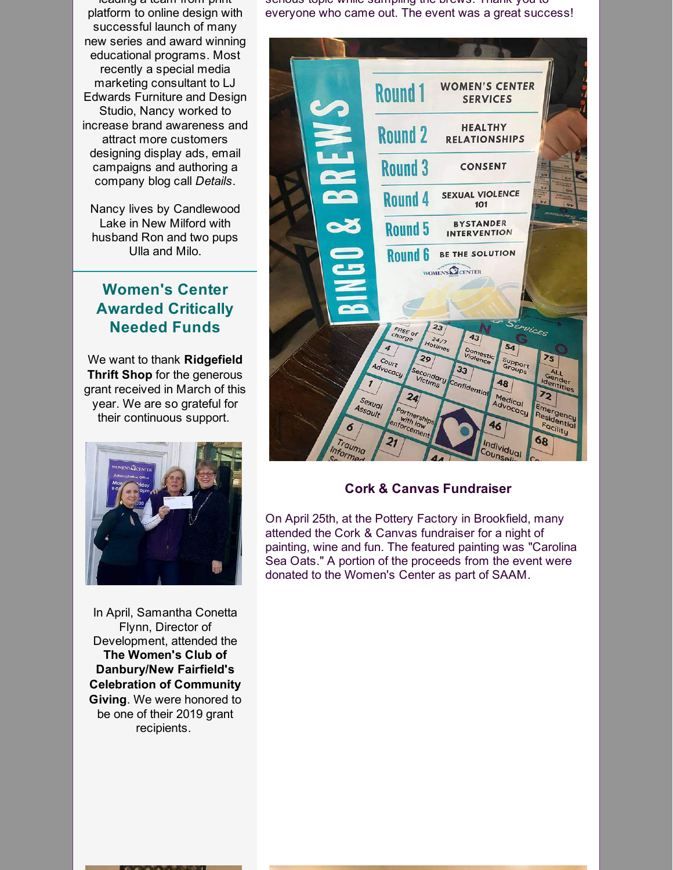leading a team from print platform to online design with successful launch of many new series and award winning educational programs. Most recently a special media marketing consultant to LJ Edwards Furniture and Design Studio, Nancy worked to increase brand awareness and attract more customers designing display ads, email campaigns and authoring a company blog call *Details*.

Nancy lives by Candlewood Lake in New Milford with husband Ron and two pups Ulla and Milo.

# **Women's Center Awarded Critically Needed Funds**

We want to thank **Ridgefield Thrift Shop** for the generous grant received in March of this year. We are so grateful for their continuous support.



In April, Samantha Conetta Flynn, Director of Development, attended the **The Women's Club of Danbury/New Fairfield's Celebration of Community Giving**. We were honored to be one of their 2019 grant recipients.

serious topic while sampling the brews. Thank you to everyone who came out. The event was a great success!



### **Cork & Canvas Fundraiser**

On April 25th, at the Pottery Factory in Brookfield, many attended the Cork & Canvas fundraiser for a night of painting, wine and fun. The featured painting was "Carolina Sea Oats." A portion of the proceeds from the event were donated to the Women's Center as part of SAAM.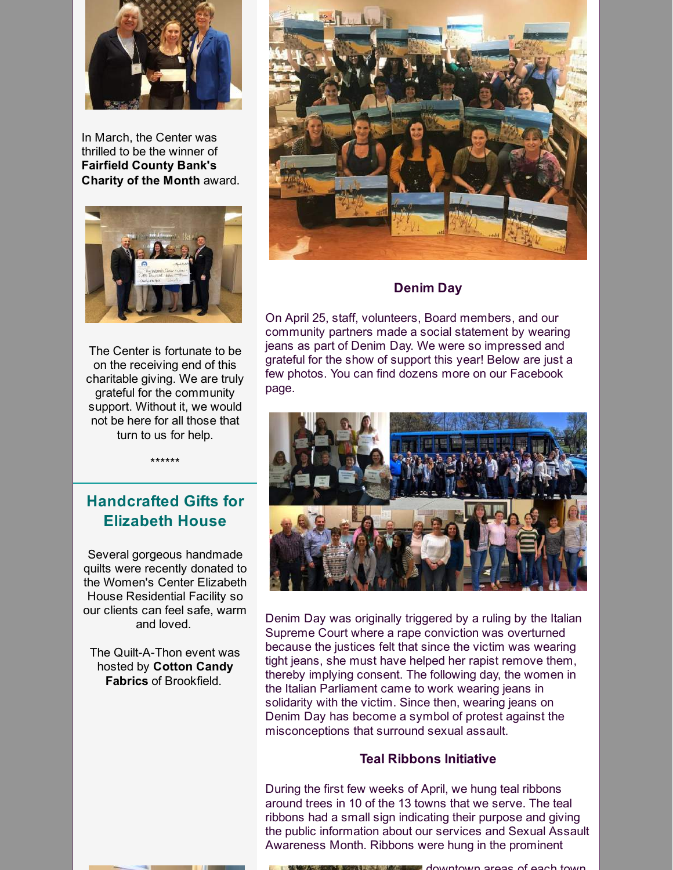

In March, the Center was thrilled to be the winner of **Fairfield County Bank's Charity of the Month** award.



The Center is fortunate to be on the receiving end of this charitable giving. We are truly grateful for the community support. Without it, we would not be here for all those that turn to us for help.



### **Denim Day**

On April 25, staff, volunteers, Board members, and our community partners made a social statement by wearing jeans as part of Denim Day. We were so impressed and grateful for the show of support this year! Below are just a few photos. You can find dozens more on our Facebook page.



Denim Day was originally triggered by a ruling by the Italian Supreme Court where a rape conviction was overturned because the justices felt that since the victim was wearing tight jeans, she must have helped her rapist remove them, thereby implying consent. The following day, the women in the Italian Parliament came to work wearing jeans in solidarity with the victim. Since then, wearing jeans on Denim Day has become a symbol of protest against the misconceptions that surround sexual assault.

#### **Teal Ribbons Initiative**

During the first few weeks of April, we hung teal ribbons around trees in 10 of the 13 towns that we serve. The teal ribbons had a small sign indicating their purpose and giving the public information about our services and Sexual Assault Awareness Month. Ribbons were hung in the prominent

\*\*\*\*\*\*

# **Handcrafted Gifts for Elizabeth House**

Several gorgeous handmade quilts were recently donated to the Women's Center Elizabeth House Residential Facility so our clients can feel safe, warm and loved.

The Quilt-A-Thon event was hosted by **Cotton Candy Fabrics** of Brookfield.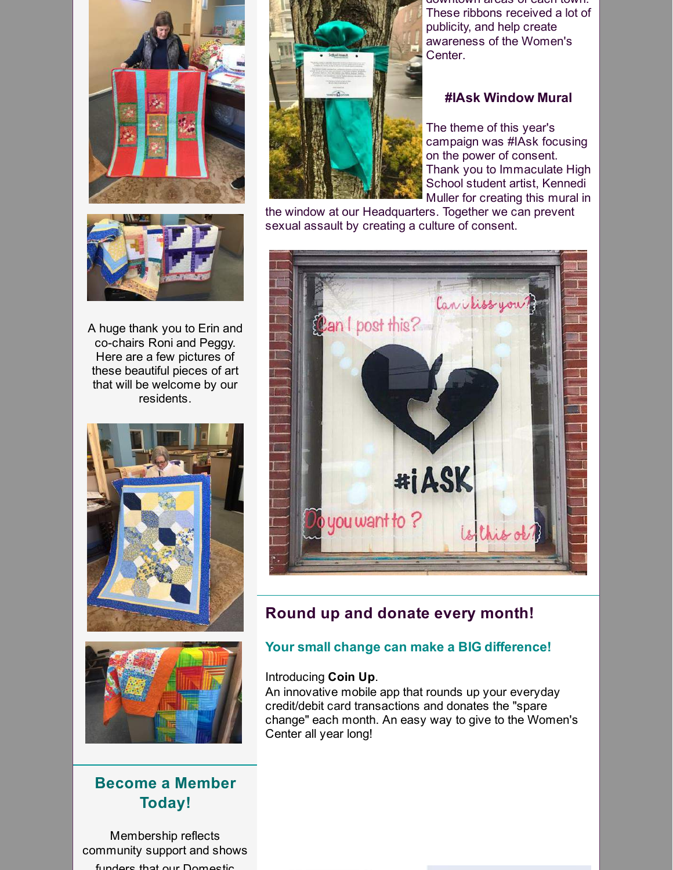

A huge thank you to Erin and co-chairs Roni and Peggy. Here are a few pictures of these beautiful pieces of art that will be welcome by our residents.





# **Become a Member Today!**

Membership reflects community support and shows funders that our Domestic



downtown areas of each town. These ribbons received a lot of publicity, and help create awareness of the Women's Center.

### **#IAsk Window Mural**

The theme of this year's campaign was #IAsk focusing on the power of consent. Thank you to Immaculate High School student artist, Kennedi Muller for creating this mural in

the window at our Headquarters. Together we can prevent sexual assault by creating a culture of consent.



## **Round up and donate every month!**

## **Your small change can make a BIG difference!**

#### Introducing **Coin Up**.

An innovative mobile app that rounds up your everyday credit/debit card transactions and donates the "spare change" each month. An easy way to give to the Women's Center all year long!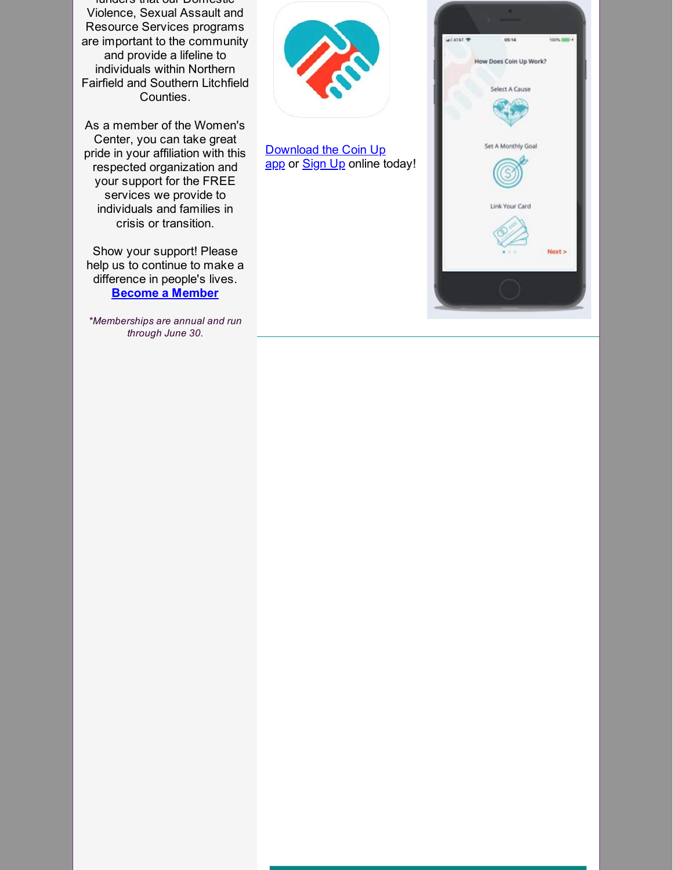funders that our Domestic Violence, Sexual Assault and Resource Services programs are important to the community and provide a lifeline to individuals within Northern Fairfield and Southern Litchfield Counties.

As a member of the Women's Center, you can take great pride in your affiliation with this respected organization and your support for the FREE services we provide to individuals and families in crisis or transition.

Show your support! Please help us to continue to make a difference in people's lives. **Become a [Member](http://r20.rs6.net/tn.jsp?f=0013mJXYOU2YdaI2GKSZOd_zGZl7shwtEwM1n35ZjbFFqzYj_awE3T3hL4k2SAUp18Swubf3rviRu69u7RRTORrarvomKoKdHLLnhlePTu4Yf8XMRCrtWTVVgdHFML7h7GQZkRxME-z9zEWzZyrRS1Dx5cmFlfOBhCe8xKD39BX37g5mV6WjkYuyge0lmSpEusVS-AuQnLLiCRJoJtu7L9J3PtRnrZ_b_px&c=&ch=)**

*\*Memberships are annual and run through June 30.*



[Download](http://r20.rs6.net/tn.jsp?f=0013mJXYOU2YdaI2GKSZOd_zGZl7shwtEwM1n35ZjbFFqzYj_awE3T3hB4smeLtu6KLcqSk6Gw3B1q4OyEfGGjSFzkRSFKMakg4kZOOumeuOm7fQvpxN0pCwBgjQseA72lFRXoHpx-NsZYzdxv5yRtmZnoZh7LcTZ32HWNIyu27jm6yFHjKTGv25w==&c=&ch=) the Coin Up app or **[Sign](http://r20.rs6.net/tn.jsp?f=0013mJXYOU2YdaI2GKSZOd_zGZl7shwtEwM1n35ZjbFFqzYj_awE3T3hB4smeLtu6KLwJKo0EQQaWWXbyvfPZUD2lcjucnNfRJaS1J73T4S6TzDgpyBLzZLVJKVvI_SzxQIqoTawu754MXN9zMI6BD32rkaVOMRCqqL5Ae8IPK0N5zZdlb0xvCv1w==&c=&ch=) Up** online today!